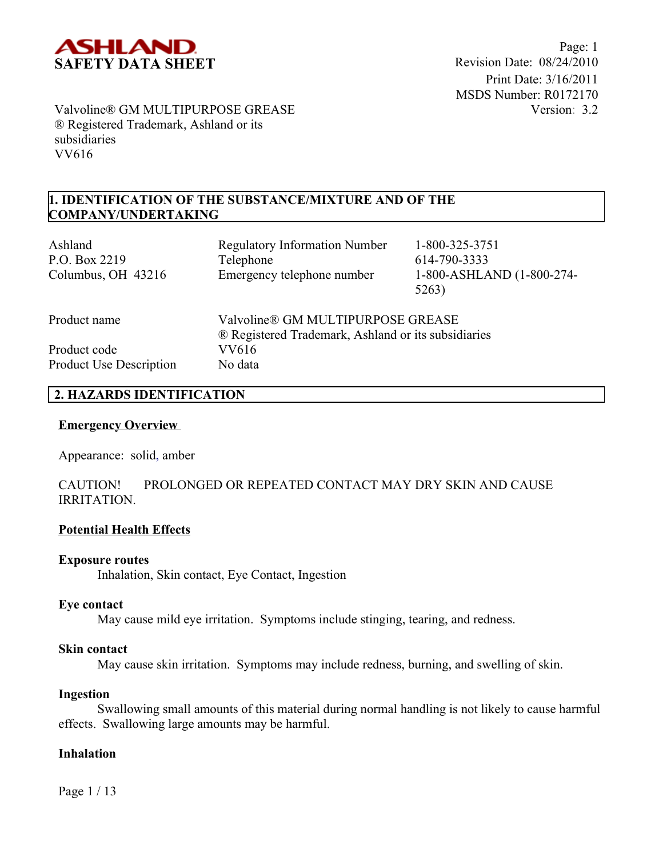

## **1. IDENTIFICATION OF THE SUBSTANCE/MIXTURE AND OF THE COMPANY/UNDERTAKING**

| Ashland<br>P.O. Box 2219<br>Columbus, OH 43216 | <b>Regulatory Information Number</b><br>Telephone<br>Emergency telephone number          | 1-800-325-3751<br>614-790-3333<br>1-800-ASHLAND (1-800-274-<br>5263) |
|------------------------------------------------|------------------------------------------------------------------------------------------|----------------------------------------------------------------------|
| Product name                                   | Valvoline® GM MULTIPURPOSE GREASE<br>® Registered Trademark, Ashland or its subsidiaries |                                                                      |
| Product code<br>Product Use Description        | VV616<br>No data                                                                         |                                                                      |

## **2. HAZARDS IDENTIFICATION**

#### **Emergency Overview**

Appearance:solid, amber

## CAUTION! PROLONGED OR REPEATED CONTACT MAY DRY SKIN AND CAUSE IRRITATION.

## **Potential Health Effects**

#### **Exposure routes**

Inhalation, Skin contact, Eye Contact, Ingestion

## **Eye contact**

May cause mild eye irritation. Symptoms include stinging, tearing, and redness.

## **Skin contact**

May cause skin irritation. Symptoms may include redness, burning, and swelling of skin.

#### **Ingestion**

Swallowing small amounts of this material during normal handling is not likely to cause harmful effects. Swallowing large amounts may be harmful.

## **Inhalation**

Page 1 / 13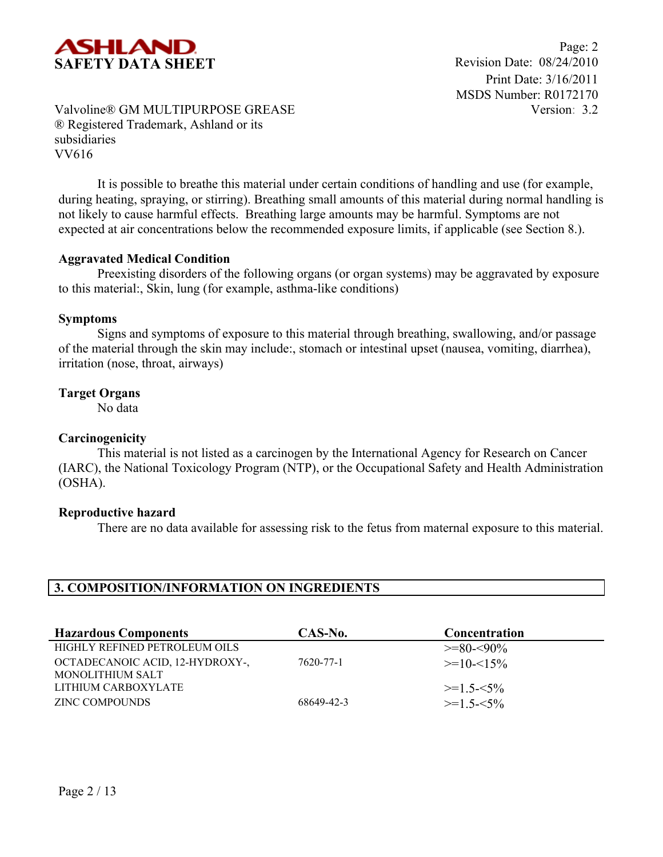

Page: 2 Print Date: 3/16/2011 MSDS Number: R0172170 Version: 3.2

## Valvoline® GM MULTIPURPOSE GREASE ® Registered Trademark, Ashland or its subsidiaries VV616

It is possible to breathe this material under certain conditions of handling and use (for example, during heating, spraying, or stirring). Breathing small amounts of this material during normal handling is not likely to cause harmful effects. Breathing large amounts may be harmful. Symptoms are not expected at air concentrations below the recommended exposure limits, if applicable (see Section 8.).

## **Aggravated Medical Condition**

Preexisting disorders of the following organs (or organ systems) may be aggravated by exposure to this material:, Skin, lung (for example, asthma-like conditions)

#### **Symptoms**

Signs and symptoms of exposure to this material through breathing, swallowing, and/or passage of the material through the skin may include:, stomach or intestinal upset (nausea, vomiting, diarrhea), irritation (nose, throat, airways)

#### **Target Organs**

No data

## **Carcinogenicity**

This material is not listed as a carcinogen by the International Agency for Research on Cancer (IARC), the National Toxicology Program (NTP), or the Occupational Safety and Health Administration (OSHA).

#### **Reproductive hazard**

There are no data available for assessing risk to the fetus from maternal exposure to this material.

## **3. COMPOSITION/INFORMATION ON INGREDIENTS**

| <b>Hazardous Components</b>     | CAS-No.    | Concentration |
|---------------------------------|------------|---------------|
| HIGHLY REFINED PETROLEUM OILS   |            | $>=80-590%$   |
| OCTADECANOIC ACID, 12-HYDROXY-, | 7620-77-1  | $>=10-15%$    |
| MONOLITHIUM SALT                |            |               |
| LITHIUM CARBOXYLATE             |            | $>=1.5 - 5\%$ |
| <b>ZINC COMPOUNDS</b>           | 68649-42-3 | $>=15-5%$     |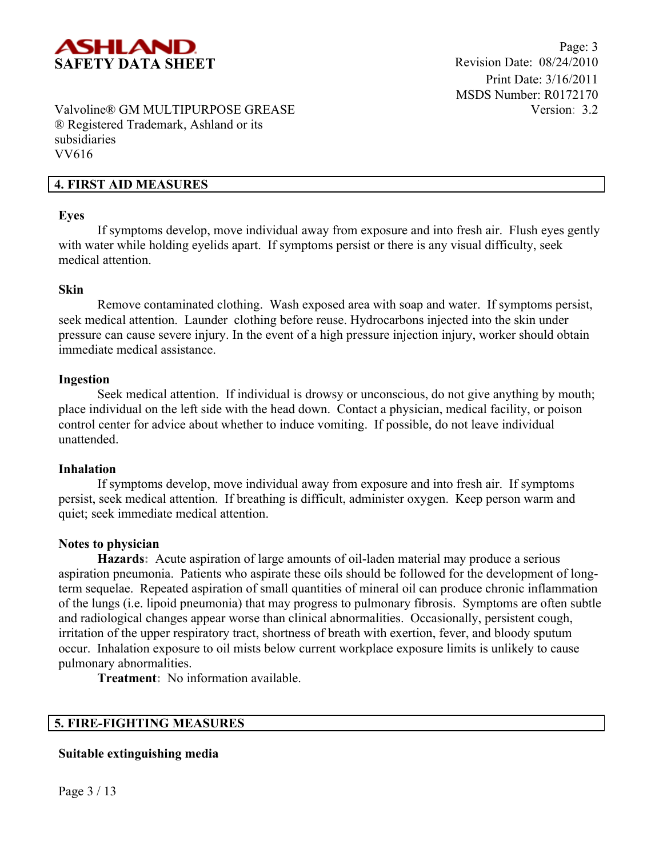

## **4. FIRST AID MEASURES**

#### **Eyes**

If symptoms develop, move individual away from exposure and into fresh air. Flush eyes gently with water while holding eyelids apart. If symptoms persist or there is any visual difficulty, seek medical attention.

#### **Skin**

Remove contaminated clothing. Wash exposed area with soap and water. If symptoms persist, seek medical attention. Launder clothing before reuse. Hydrocarbons injected into the skin under pressure can cause severe injury. In the event of a high pressure injection injury, worker should obtain immediate medical assistance.

#### **Ingestion**

Seek medical attention. If individual is drowsy or unconscious, do not give anything by mouth; place individual on the left side with the head down. Contact a physician, medical facility, or poison control center for advice about whether to induce vomiting. If possible, do not leave individual unattended.

#### **Inhalation**

If symptoms develop, move individual away from exposure and into fresh air. If symptoms persist, seek medical attention. If breathing is difficult, administer oxygen. Keep person warm and quiet; seek immediate medical attention.

## **Notes to physician**

**Hazards:** Acute aspiration of large amounts of oil-laden material may produce a serious aspiration pneumonia. Patients who aspirate these oils should be followed for the development of longterm sequelae. Repeated aspiration of small quantities of mineral oil can produce chronic inflammation of the lungs (i.e. lipoid pneumonia) that may progress to pulmonary fibrosis. Symptoms are often subtle and radiological changes appear worse than clinical abnormalities. Occasionally, persistent cough, irritation of the upper respiratory tract, shortness of breath with exertion, fever, and bloody sputum occur. Inhalation exposure to oil mists below current workplace exposure limits is unlikely to cause pulmonary abnormalities.

**Treatment:** No information available.

## **5. FIRE-FIGHTING MEASURES**

## **Suitable extinguishing media**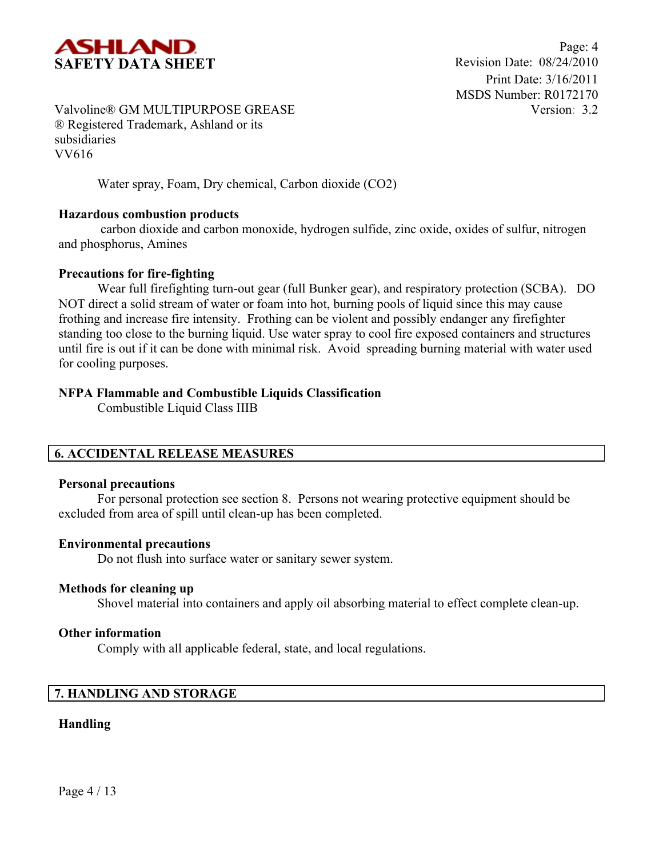

Water spray, Foam, Dry chemical, Carbon dioxide (CO2)

## **Hazardous combustion products**

carbon dioxide and carbon monoxide, hydrogen sulfide, zinc oxide, oxides of sulfur, nitrogen and phosphorus, Amines

## **Precautions for fire-fighting**

Wear full firefighting turn-out gear (full Bunker gear), and respiratory protection (SCBA). DO NOT direct a solid stream of water or foam into hot, burning pools of liquid since this may cause frothing and increase fire intensity. Frothing can be violent and possibly endanger any firefighter standing too close to the burning liquid. Use water spray to cool fire exposed containers and structures until fire is out if it can be done with minimal risk. Avoid spreading burning material with water used for cooling purposes.

## **NFPA Flammable and Combustible Liquids Classification**

Combustible Liquid Class IIIB

## **6. ACCIDENTAL RELEASE MEASURES**

## **Personal precautions**

For personal protection see section 8.Persons not wearing protective equipment should be excluded from area of spill until clean-up has been completed.

## **Environmental precautions**

Do not flush into surface water or sanitary sewer system.

## **Methods for cleaning up**

Shovel material into containers and apply oil absorbing material to effect complete clean-up.

## **Other information**

Comply with all applicable federal, state, and local regulations.

## **7. HANDLING AND STORAGE**

## **Handling**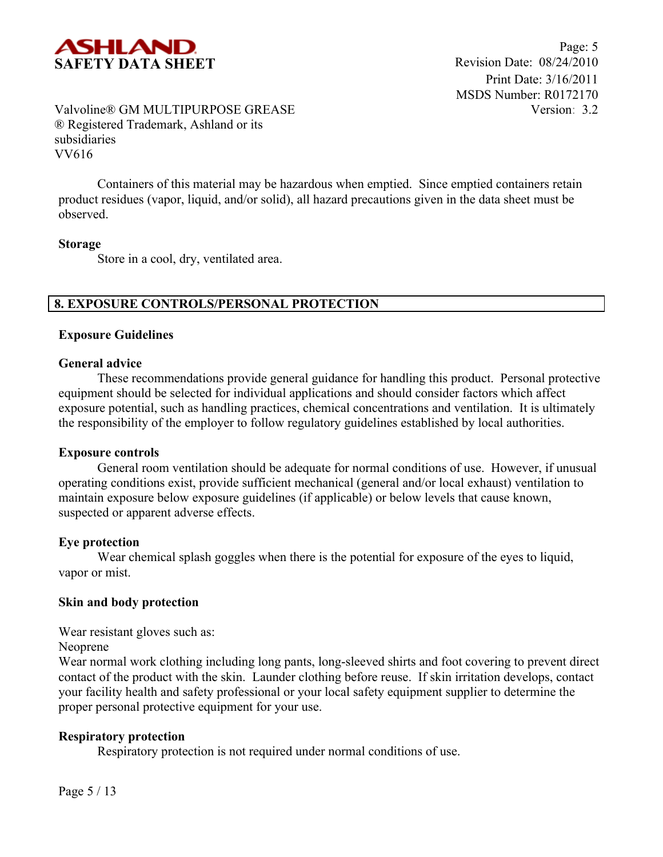

Containers of this material may be hazardous when emptied. Since emptied containers retain product residues (vapor, liquid, and/or solid), all hazard precautions given in the data sheet must be observed.

#### **Storage**

Store in a cool, dry, ventilated area.

## **8. EXPOSURE CONTROLS/PERSONAL PROTECTION**

#### **Exposure Guidelines**

#### **General advice**

These recommendations provide general guidance for handling this product. Personal protective equipment should be selected for individual applications and should consider factors which affect exposure potential, such as handling practices, chemical concentrations and ventilation. It is ultimately the responsibility of the employer to follow regulatory guidelines established by local authorities.

#### **Exposure controls**

General room ventilation should be adequate for normal conditions of use. However, if unusual operating conditions exist, provide sufficient mechanical (general and/or local exhaust) ventilation to maintain exposure below exposure guidelines (if applicable) or below levels that cause known, suspected or apparent adverse effects.

## **Eye protection**

Wear chemical splash goggles when there is the potential for exposure of the eyes to liquid, vapor or mist.

## **Skin and body protection**

Wear resistant gloves such as:

Neoprene

Wear normal work clothing including long pants, long-sleeved shirts and foot covering to prevent direct contact of the product with the skin. Launder clothing before reuse. If skin irritation develops, contact your facility health and safety professional or your local safety equipment supplier to determine the proper personal protective equipment for your use.

#### **Respiratory protection**

Respiratory protection is not required under normal conditions of use.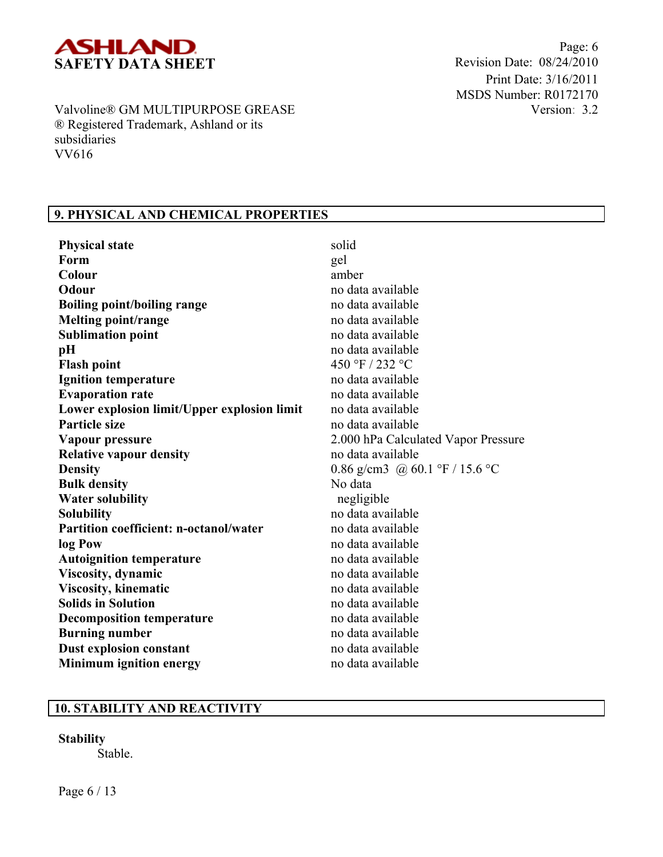

Page: 6 Print Date: 3/16/2011 MSDS Number: R0172170 Version: 3.2

Valvoline® GM MULTIPURPOSE GREASE ® Registered Trademark, Ashland or its subsidiaries VV616

## **9. PHYSICAL AND CHEMICAL PROPERTIES**

| <b>Physical state</b>                         | solid                               |
|-----------------------------------------------|-------------------------------------|
| Form                                          | gel                                 |
| Colour                                        | amber                               |
| Odour                                         | no data available                   |
| <b>Boiling point/boiling range</b>            | no data available                   |
| <b>Melting point/range</b>                    | no data available                   |
| <b>Sublimation point</b>                      | no data available                   |
| pH                                            | no data available                   |
| <b>Flash point</b>                            | 450 °F / 232 °C                     |
| <b>Ignition temperature</b>                   | no data available                   |
| <b>Evaporation rate</b>                       | no data available                   |
| Lower explosion limit/Upper explosion limit   | no data available                   |
| <b>Particle size</b>                          | no data available                   |
| Vapour pressure                               | 2.000 hPa Calculated Vapor Pressure |
| <b>Relative vapour density</b>                | no data available                   |
| <b>Density</b>                                | 0.86 g/cm3 @ 60.1 °F / 15.6 °C      |
| <b>Bulk density</b>                           | No data                             |
| <b>Water solubility</b>                       | negligible                          |
| <b>Solubility</b>                             | no data available                   |
| <b>Partition coefficient: n-octanol/water</b> | no data available                   |
| log Pow                                       | no data available                   |
| <b>Autoignition temperature</b>               | no data available                   |
| <b>Viscosity</b> , dynamic                    | no data available                   |
| <b>Viscosity, kinematic</b>                   | no data available                   |
| <b>Solids in Solution</b>                     | no data available                   |
| <b>Decomposition temperature</b>              | no data available                   |
| <b>Burning number</b>                         | no data available                   |
| Dust explosion constant                       | no data available                   |
| <b>Minimum ignition energy</b>                | no data available                   |

## **10. STABILITY AND REACTIVITY**

**Stability** Stable.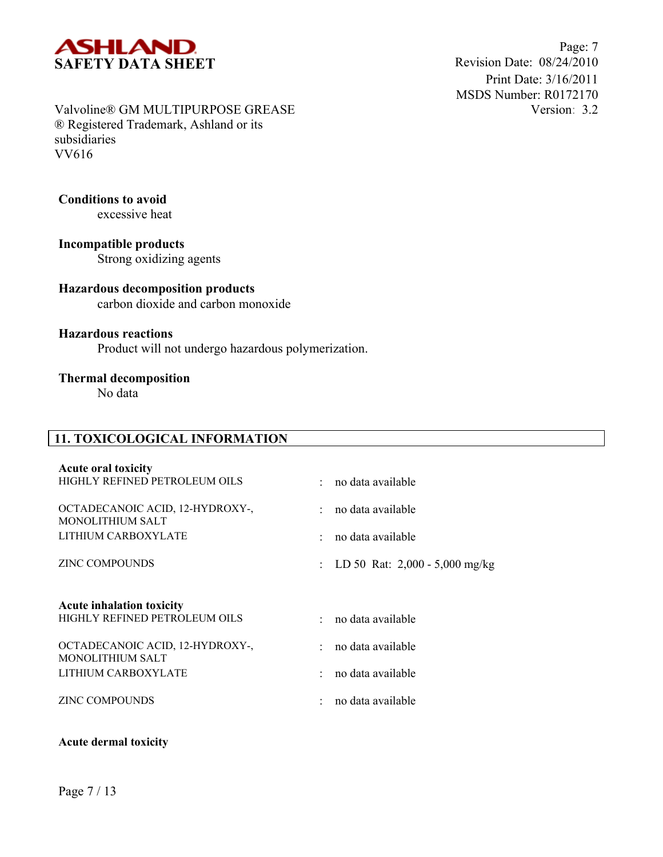

Page: 7 Print Date: 3/16/2011 MSDS Number: R0172170 Version: 3.2

## Valvoline® GM MULTIPURPOSE GREASE ® Registered Trademark, Ashland or its subsidiaries VV616

## **Conditions to avoid**

excessive heat

**Incompatible products** Strong oxidizing agents

# **Hazardous decomposition products**

carbon dioxide and carbon monoxide

## **Hazardous reactions**

Product will not undergo hazardous polymerization.

## **Thermal decomposition**

No data

## **11. TOXICOLOGICAL INFORMATION**

| <b>Acute oral toxicity</b>                          |                                    |
|-----------------------------------------------------|------------------------------------|
| HIGHLY REFINED PETROLEUM OILS                       | · no data available                |
| OCTADECANOIC ACID, 12-HYDROXY-,<br>MONOLITHIUM SALT | : no data available                |
| LITHIUM CARBOXYLATE                                 | : no data available                |
| <b>ZINC COMPOUNDS</b>                               | : LD 50 Rat: $2,000 - 5,000$ mg/kg |
| <b>Acute inhalation toxicity</b>                    |                                    |
| HIGHLY REFINED PETROLEUM OILS                       | $\cdot$ no data available          |
| OCTADECANOIC ACID, 12-HYDROXY-,                     | $:$ no data available              |
| <b>MONOLITHIUM SALT</b>                             |                                    |
| LITHIUM CARBOXYLATE                                 | : no data available                |
| <b>ZINC COMPOUNDS</b>                               | no data available                  |

#### **Acute dermal toxicity**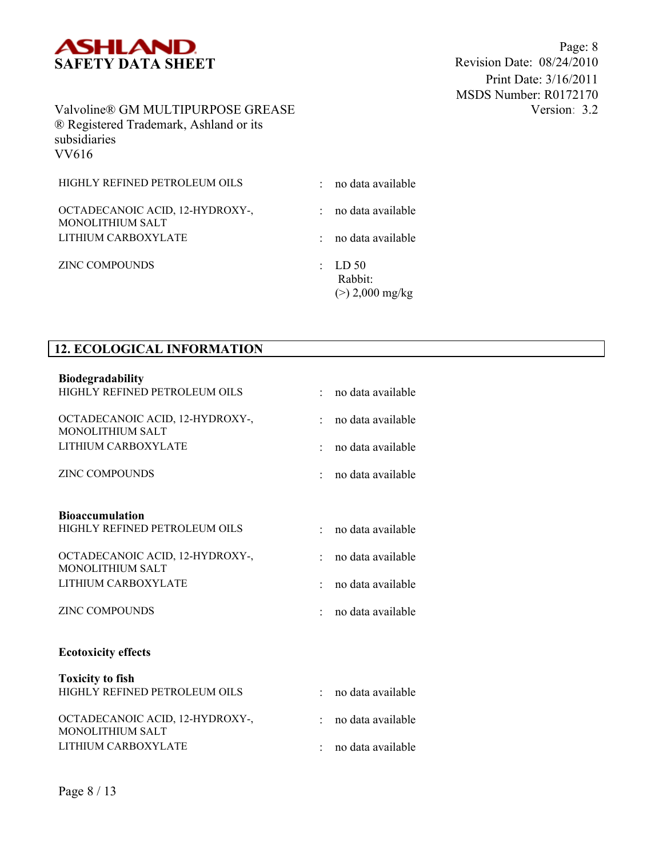

Page: 8<br>Revision Date: 08/24/2010 Print Date: 3/16/2011 MSDS Number: R0172170 Version: 3.2

## Valvoline® GM MULTIPURPOSE GREASE ® Registered Trademark, Ashland or its subsidiaries VV616

| HIGHLY REFINED PETROLEUM OILS                              | no data available                                  |
|------------------------------------------------------------|----------------------------------------------------|
| OCTADECANOIC ACID, 12-HYDROXY-,<br><b>MONOLITHIUM SALT</b> | no data available                                  |
| LITHIUM CARBOXYLATE                                        | no data available                                  |
| <b>ZINC COMPOUNDS</b>                                      | $\therefore$ LD 50<br>Rabbit:<br>$(>) 2,000$ mg/kg |

## **12. ECOLOGICAL INFORMATION**

| <b>Biodegradability</b>                             |                                            |  |
|-----------------------------------------------------|--------------------------------------------|--|
| HIGHLY REFINED PETROLEUM OILS                       | no data available                          |  |
| OCTADECANOIC ACID, 12-HYDROXY-,<br>MONOLITHIUM SALT | no data available                          |  |
|                                                     |                                            |  |
| LITHIUM CARBOXYLATE                                 | no data available<br>$\bullet$             |  |
| <b>ZINC COMPOUNDS</b>                               | no data available                          |  |
| <b>Bioaccumulation</b>                              |                                            |  |
| HIGHLY REFINED PETROLEUM OILS                       | no data available                          |  |
| OCTADECANOIC ACID, 12-HYDROXY-,                     | no data available<br>٠                     |  |
| MONOLITHIUM SALT                                    |                                            |  |
| LITHIUM CARBOXYLATE                                 | no data available                          |  |
| <b>ZINC COMPOUNDS</b>                               | no data available                          |  |
| <b>Ecotoxicity effects</b>                          |                                            |  |
| <b>Toxicity to fish</b>                             |                                            |  |
| HIGHLY REFINED PETROLEUM OILS                       | no data available<br>$\epsilon_{\rm{eff}}$ |  |
| OCTADECANOIC ACID, 12-HYDROXY-,                     | no data available<br>۰.                    |  |
| MONOLITHIUM SALT                                    |                                            |  |
| LITHIUM CARBOXYLATE                                 | no data available                          |  |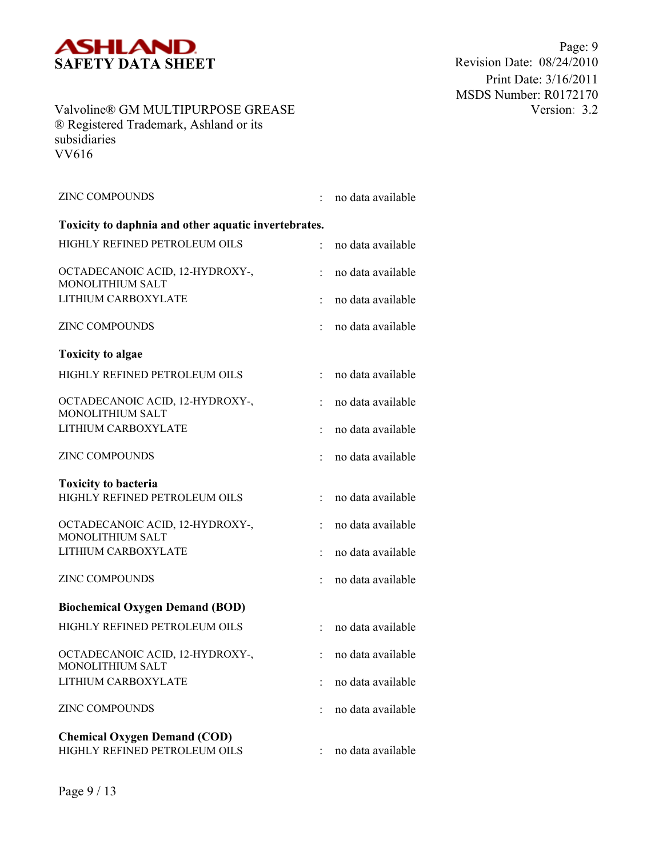

Page: 9<br>Revision Date: 08/24/2010 Print Date: 3/16/2011 MSDS Number: R0172170 Version: 3.2

## Valvoline® GM MULTIPURPOSE GREASE ® Registered Trademark, Ashland or its subsidiaries VV616

| <b>ZINC COMPOUNDS</b>                                                |   | no data available |
|----------------------------------------------------------------------|---|-------------------|
| Toxicity to daphnia and other aquatic invertebrates.                 |   |                   |
| HIGHLY REFINED PETROLEUM OILS                                        |   | no data available |
| OCTADECANOIC ACID, 12-HYDROXY-,<br><b>MONOLITHIUM SALT</b>           |   | no data available |
| LITHIUM CARBOXYLATE                                                  |   | no data available |
| <b>ZINC COMPOUNDS</b>                                                |   | no data available |
| <b>Toxicity to algae</b>                                             |   |                   |
| HIGHLY REFINED PETROLEUM OILS                                        | t | no data available |
| OCTADECANOIC ACID, 12-HYDROXY-,<br><b>MONOLITHIUM SALT</b>           |   | no data available |
| LITHIUM CARBOXYLATE                                                  |   | no data available |
| <b>ZINC COMPOUNDS</b>                                                |   | no data available |
| <b>Toxicity to bacteria</b>                                          |   |                   |
| HIGHLY REFINED PETROLEUM OILS                                        |   | no data available |
| OCTADECANOIC ACID, 12-HYDROXY-,<br><b>MONOLITHIUM SALT</b>           |   | no data available |
| LITHIUM CARBOXYLATE                                                  |   | no data available |
| <b>ZINC COMPOUNDS</b>                                                |   | no data available |
| <b>Biochemical Oxygen Demand (BOD)</b>                               |   |                   |
| HIGHLY REFINED PETROLEUM OILS                                        |   | no data available |
| OCTADECANOIC ACID, 12-HYDROXY-,<br><b>MONOLITHIUM SALT</b>           |   | no data available |
| LITHIUM CARBOXYLATE                                                  |   | no data available |
| <b>ZINC COMPOUNDS</b>                                                |   | no data available |
| <b>Chemical Oxygen Demand (COD)</b><br>HIGHLY REFINED PETROLEUM OILS |   | no data available |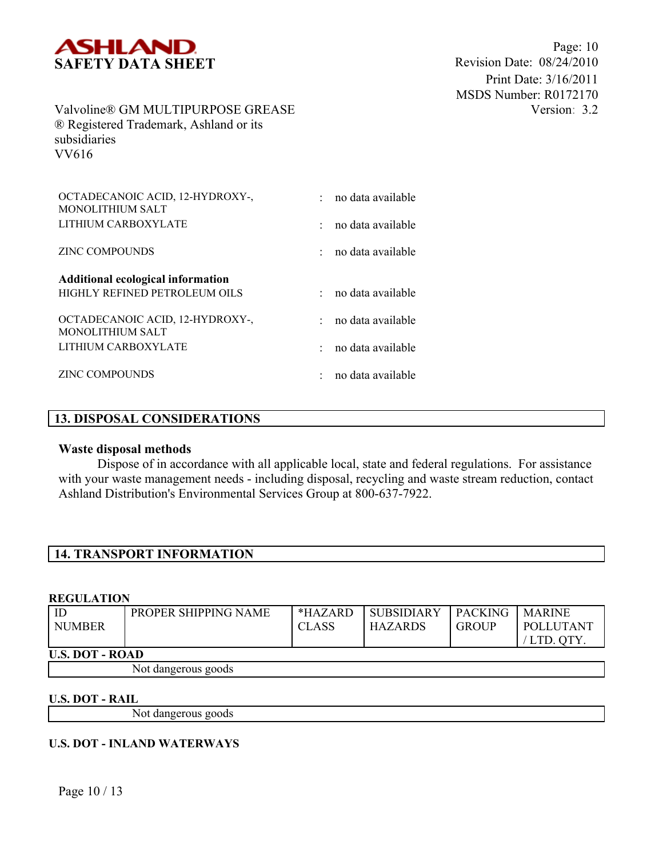

| OCTADECANOIC ACID, 12-HYDROXY-,<br>MONOLITHIUM SALT        | no data available |
|------------------------------------------------------------|-------------------|
| LITHIUM CARBOXYLATE                                        | no data available |
| <b>ZINC COMPOUNDS</b>                                      | no data available |
| <b>Additional ecological information</b>                   |                   |
| HIGHLY REFINED PETROLEUM OILS                              | no data available |
| OCTADECANOIC ACID, 12-HYDROXY-,<br><b>MONOLITHIUM SALT</b> | no data available |
| LITHIUM CARBOXYLATE                                        | no data available |
| <b>ZINC COMPOUNDS</b>                                      | no data available |

## **13. DISPOSAL CONSIDERATIONS**

#### **Waste disposal methods**

Dispose of in accordance with all applicable local, state and federal regulations. For assistance with your waste management needs - including disposal, recycling and waste stream reduction, contact Ashland Distribution's Environmental Services Group at 800-637-7922.

## **14. TRANSPORT INFORMATION**

#### **REGULATION**

| ID<br><b>NUMBER</b>    | PROPER SHIPPING NAME | $*HAZARD$<br><b>CLASS</b> | <b>SUBSIDIARY</b><br><b>HAZARDS</b> | <b>PACKING</b><br><b>GROUP</b> | <b>MARINE</b><br>POLLUTANT<br>/ LTD. OTY. |
|------------------------|----------------------|---------------------------|-------------------------------------|--------------------------------|-------------------------------------------|
| <b>U.S. DOT - ROAD</b> |                      |                           |                                     |                                |                                           |
|                        | Not dangerous goods  |                           |                                     |                                |                                           |

#### **U.S. DOT - RAIL**

Not dangerous goods

## **U.S. DOT - INLAND WATERWAYS**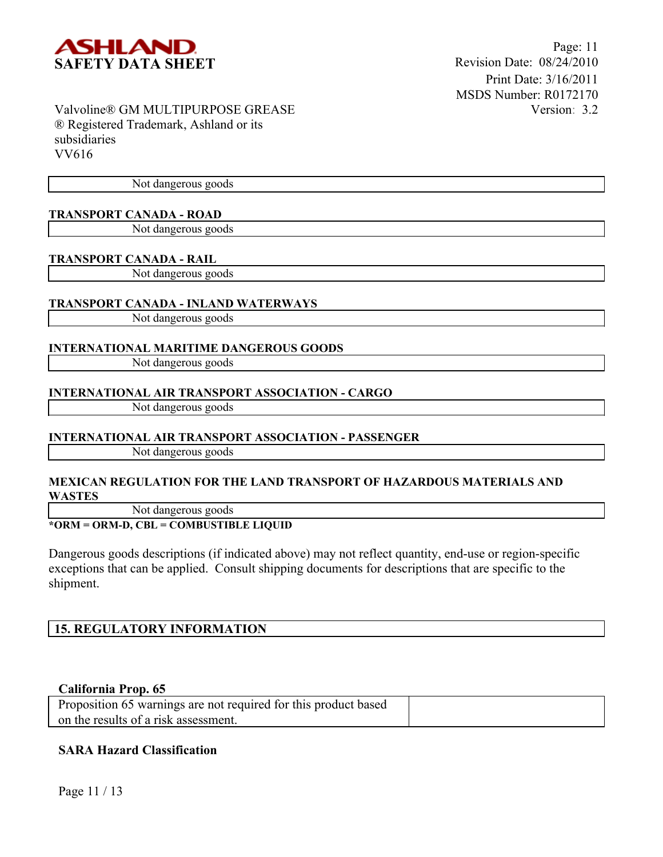

Not dangerous goods

## **TRANSPORT CANADA - ROAD**

Not dangerous goods

#### **TRANSPORT CANADA - RAIL**

Not dangerous goods

## **TRANSPORT CANADA - INLAND WATERWAYS**

Not dangerous goods

#### **INTERNATIONAL MARITIME DANGEROUS GOODS**

Not dangerous goods

#### **INTERNATIONAL AIR TRANSPORT ASSOCIATION - CARGO**

Not dangerous goods

## **INTERNATIONAL AIR TRANSPORT ASSOCIATION - PASSENGER**

Not dangerous goods

#### **MEXICAN REGULATION FOR THE LAND TRANSPORT OF HAZARDOUS MATERIALS AND WASTES**

Not dangerous goods

## **\*ORM = ORM-D, CBL = COMBUSTIBLE LIQUID**

Dangerous goods descriptions (if indicated above) may not reflect quantity, end-use or region-specific exceptions that can be applied. Consult shipping documents for descriptions that are specific to the shipment.

## **15. REGULATORY INFORMATION**

## **California Prop. 65**

| Proposition 65 warnings are not required for this product based |  |
|-----------------------------------------------------------------|--|
| on the results of a risk assessment.                            |  |

## **SARA Hazard Classification**

Page 11 / 13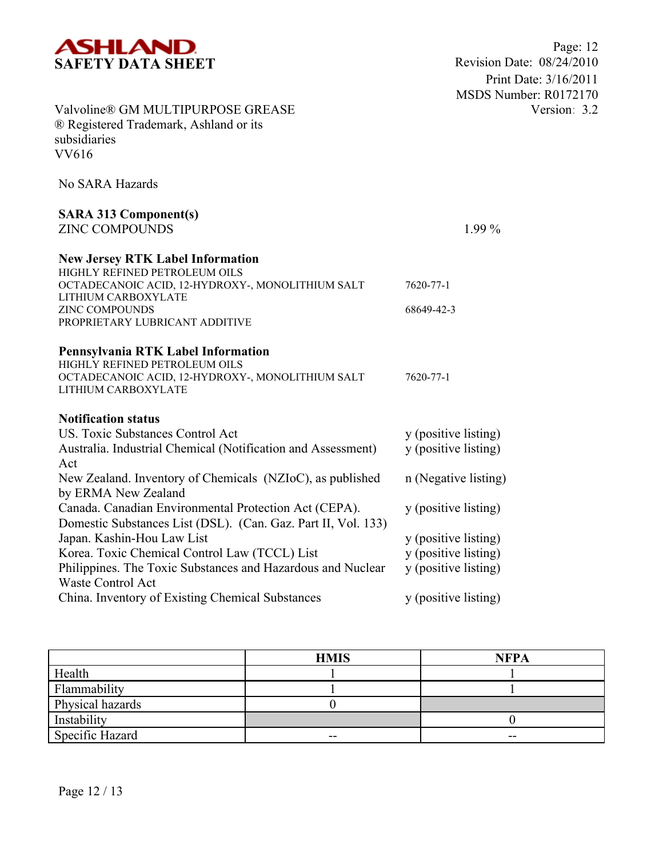

| Valvoline® GM MULTIPURPOSE GREASE<br>® Registered Trademark, Ashland or its<br>subsidiaries<br><b>VV616</b>                                                                                                                                                                                                                                                                                                                                                                                                                          |                                                                                                                                                                      |
|--------------------------------------------------------------------------------------------------------------------------------------------------------------------------------------------------------------------------------------------------------------------------------------------------------------------------------------------------------------------------------------------------------------------------------------------------------------------------------------------------------------------------------------|----------------------------------------------------------------------------------------------------------------------------------------------------------------------|
| No SARA Hazards                                                                                                                                                                                                                                                                                                                                                                                                                                                                                                                      |                                                                                                                                                                      |
| <b>SARA 313 Component(s)</b><br><b>ZINC COMPOUNDS</b>                                                                                                                                                                                                                                                                                                                                                                                                                                                                                | $1.99\%$                                                                                                                                                             |
| <b>New Jersey RTK Label Information</b><br>HIGHLY REFINED PETROLEUM OILS<br>OCTADECANOIC ACID, 12-HYDROXY-, MONOLITHIUM SALT<br>LITHIUM CARBOXYLATE<br><b>ZINC COMPOUNDS</b><br>PROPRIETARY LUBRICANT ADDITIVE                                                                                                                                                                                                                                                                                                                       | 7620-77-1<br>68649-42-3                                                                                                                                              |
| Pennsylvania RTK Label Information<br>HIGHLY REFINED PETROLEUM OILS<br>OCTADECANOIC ACID, 12-HYDROXY-, MONOLITHIUM SALT<br>LITHIUM CARBOXYLATE                                                                                                                                                                                                                                                                                                                                                                                       | 7620-77-1                                                                                                                                                            |
| <b>Notification status</b><br><b>US. Toxic Substances Control Act</b><br>Australia. Industrial Chemical (Notification and Assessment)<br>Act<br>New Zealand. Inventory of Chemicals (NZIoC), as published<br>by ERMA New Zealand<br>Canada. Canadian Environmental Protection Act (CEPA).<br>Domestic Substances List (DSL). (Can. Gaz. Part II, Vol. 133)<br>Japan. Kashin-Hou Law List<br>Korea. Toxic Chemical Control Law (TCCL) List<br>Philippines. The Toxic Substances and Hazardous and Nuclear<br><b>Waste Control Act</b> | y (positive listing)<br>y (positive listing)<br>n (Negative listing)<br>y (positive listing)<br>y (positive listing)<br>y (positive listing)<br>y (positive listing) |
| China. Inventory of Existing Chemical Substances                                                                                                                                                                                                                                                                                                                                                                                                                                                                                     | y (positive listing)                                                                                                                                                 |

|                  | <b>HMIS</b> | <b>NFPA</b> |
|------------------|-------------|-------------|
| Health           |             |             |
| Flammability     |             |             |
| Physical hazards |             |             |
| Instability      |             |             |
| Specific Hazard  | $- -$       | $- -$       |